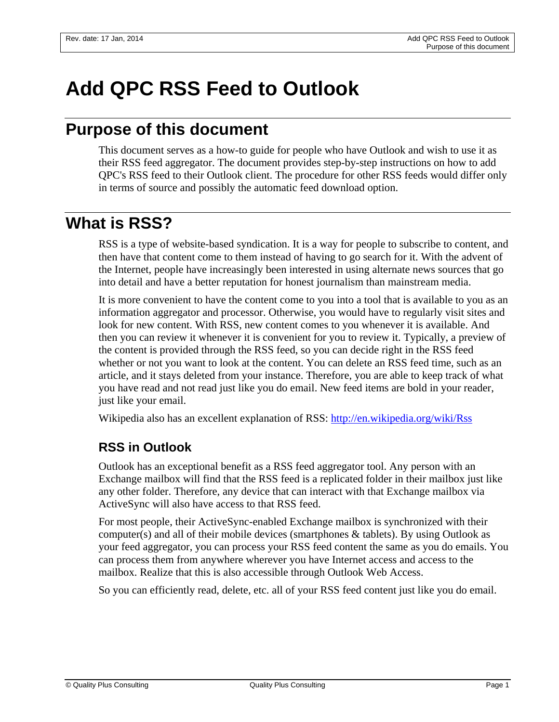# **Add QPC RSS Feed to Outlook**

#### **Purpose of this document**

This document serves as a how-to guide for people who have Outlook and wish to use it as their RSS feed aggregator. The document provides step-by-step instructions on how to add QPC's RSS feed to their Outlook client. The procedure for other RSS feeds would differ only in terms of source and possibly the automatic feed download option.

## **What is RSS?**

RSS is a type of website-based syndication. It is a way for people to subscribe to content, and then have that content come to them instead of having to go search for it. With the advent of the Internet, people have increasingly been interested in using alternate news sources that go into detail and have a better reputation for honest journalism than mainstream media.

It is more convenient to have the content come to you into a tool that is available to you as an information aggregator and processor. Otherwise, you would have to regularly visit sites and look for new content. With RSS, new content comes to you whenever it is available. And then you can review it whenever it is convenient for you to review it. Typically, a preview of the content is provided through the RSS feed, so you can decide right in the RSS feed whether or not you want to look at the content. You can delete an RSS feed time, such as an article, and it stays deleted from your instance. Therefore, you are able to keep track of what you have read and not read just like you do email. New feed items are bold in your reader, just like your email.

Wikipedia also has an excellent explanation of RSS: http://en.wikipedia.org/wiki/Rss

#### **RSS in Outlook**

Outlook has an exceptional benefit as a RSS feed aggregator tool. Any person with an Exchange mailbox will find that the RSS feed is a replicated folder in their mailbox just like any other folder. Therefore, any device that can interact with that Exchange mailbox via ActiveSync will also have access to that RSS feed.

For most people, their ActiveSync-enabled Exchange mailbox is synchronized with their computer(s) and all of their mobile devices (smartphones  $\&$  tablets). By using Outlook as your feed aggregator, you can process your RSS feed content the same as you do emails. You can process them from anywhere wherever you have Internet access and access to the mailbox. Realize that this is also accessible through Outlook Web Access.

So you can efficiently read, delete, etc. all of your RSS feed content just like you do email.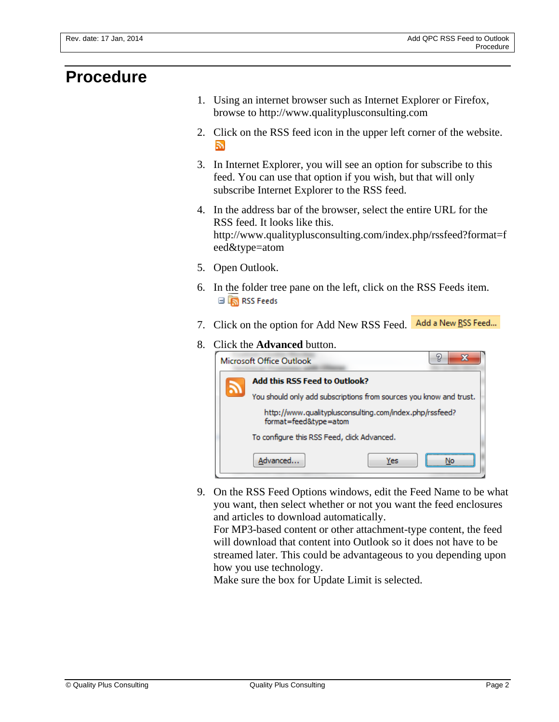### **Procedure**

- 1. Using an internet browser such as Internet Explorer or Firefox, browse to http://www.qualityplusconsulting.com
- 2. Click on the RSS feed icon in the upper left corner of the website.
- 3. In Internet Explorer, you will see an option for subscribe to this feed. You can use that option if you wish, but that will only subscribe Internet Explorer to the RSS feed.
- 4. In the address bar of the browser, select the entire URL for the RSS feed. It looks like this. http://www.qualityplusconsulting.com/index.php/rssfeed?format=f eed&type=atom
- 5. Open Outlook.
- 6. In the folder tree pane on the left, click on the RSS Feeds item. ⊟ । **In** RSS Feeds
- Add a New RSS Feed... 7. Click on the option for Add New RSS Feed.
- 8. Click the **Advanced** button.

|                                                                                  | Microsoft Office Outlook |     | 9<br>x |
|----------------------------------------------------------------------------------|--------------------------|-----|--------|
| Add this RSS Feed to Outlook?                                                    |                          |     |        |
| You should only add subscriptions from sources you know and trust.               |                          |     |        |
| http://www.qualityplusconsulting.com/index.php/rssfeed?<br>format=feed&type=atom |                          |     |        |
| To configure this RSS Feed, click Advanced.                                      |                          |     |        |
|                                                                                  | Advanced                 | Yes |        |

9. On the RSS Feed Options windows, edit the Feed Name to be what you want, then select whether or not you want the feed enclosures and articles to download automatically.

For MP3-based content or other attachment-type content, the feed will download that content into Outlook so it does not have to be streamed later. This could be advantageous to you depending upon how you use technology.

Make sure the box for Update Limit is selected.